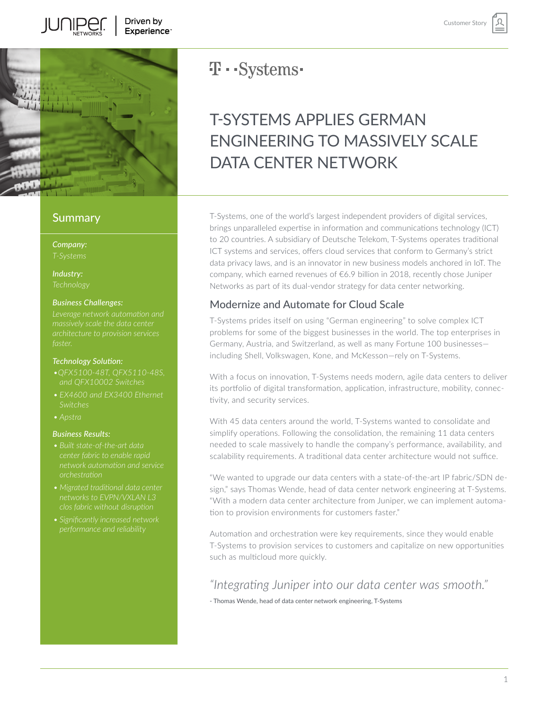

**TUNIPED** 

### **Summary**

*Company:*

*Industry:*

#### *Business Challenges:*

#### *Technology Solution:*

- *and QFX10002 Switches*
- *Switches*
- 

#### *Business Results:*

- *orchestration*
- 
- *• Significantly increased network*

## **T** · · Systems ·

# T-SYSTEMS APPLIES GERMAN ENGINEERING TO MASSIVELY SCALE DATA CENTER NETWORK

T-Systems, one of the world's largest independent providers of digital services, brings unparalleled expertise in information and communications technology (ICT) to 20 countries. A subsidiary of Deutsche Telekom, T-Systems operates traditional ICT systems and services, offers cloud services that conform to Germany's strict data privacy laws, and is an innovator in new business models anchored in IoT. The company, which earned revenues of €6.9 billion in 2018, recently chose Juniper Networks as part of its dual-vendor strategy for data center networking.

### Modernize and Automate for Cloud Scale

T-Systems prides itself on using "German engineering" to solve complex ICT problems for some of the biggest businesses in the world. The top enterprises in Germany, Austria, and Switzerland, as well as many Fortune 100 businesses including Shell, Volkswagen, Kone, and McKesson—rely on T-Systems.

With a focus on innovation, T-Systems needs modern, agile data centers to deliver its portfolio of digital transformation, application, infrastructure, mobility, connectivity, and security services.

With 45 data centers around the world, T-Systems wanted to consolidate and simplify operations. Following the consolidation, the remaining 11 data centers needed to scale massively to handle the company's performance, availability, and scalability requirements. A traditional data center architecture would not suffice.

"We wanted to upgrade our data centers with a state-of-the-art IP fabric/SDN design," says Thomas Wende, head of data center network engineering at T-Systems. "With a modern data center architecture from Juniper, we can implement automation to provision environments for customers faster."

Automation and orchestration were key requirements, since they would enable T-Systems to provision services to customers and capitalize on new opportunities such as multicloud more quickly.

## *"Integrating Juniper into our data center was smooth."*

- Thomas Wende, head of data center network engineering, T-Systems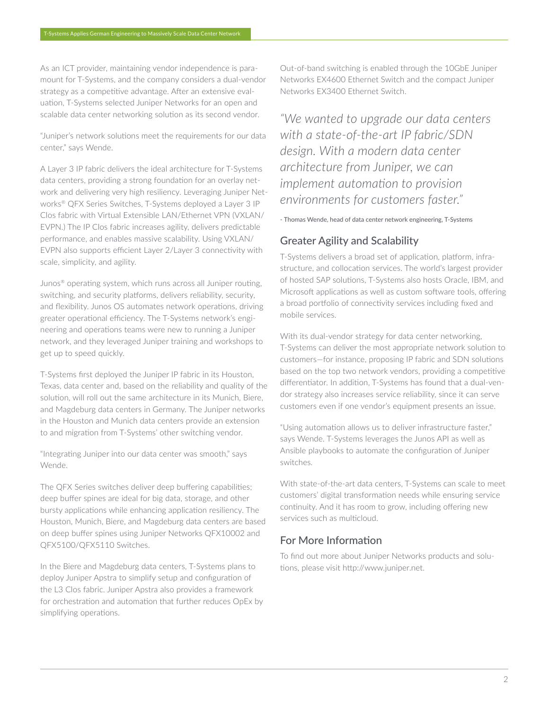As an ICT provider, maintaining vendor independence is paramount for T-Systems, and the company considers a dual-vendor strategy as a competitive advantage. After an extensive evaluation, T-Systems selected Juniper Networks for an open and scalable data center networking solution as its second vendor.

"Juniper's network solutions meet the requirements for our data center," says Wende.

A Layer 3 IP fabric delivers the ideal architecture for T-Systems data centers, providing a strong foundation for an overlay network and delivering very high resiliency. Leveraging Juniper Networks® QFX Series Switches, T-Systems deployed a Layer 3 IP Clos fabric with Virtual Extensible LAN/Ethernet VPN (VXLAN/ EVPN.) The IP Clos fabric increases agility, delivers predictable performance, and enables massive scalability. Using VXLAN/ EVPN also supports efficient Layer 2/Layer 3 connectivity with scale, simplicity, and agility.

Junos® operating system, which runs across all Juniper routing, switching, and security platforms, delivers reliability, security, and flexibility. Junos OS automates network operations, driving greater operational efficiency. The T-Systems network's engineering and operations teams were new to running a Juniper network, and they leveraged Juniper training and workshops to get up to speed quickly.

T-Systems first deployed the Juniper IP fabric in its Houston, Texas, data center and, based on the reliability and quality of the solution, will roll out the same architecture in its Munich, Biere, and Magdeburg data centers in Germany. The Juniper networks in the Houston and Munich data centers provide an extension to and migration from T-Systems' other switching vendor.

"Integrating Juniper into our data center was smooth," says Wende.

The QFX Series switches deliver deep buffering capabilities; deep buffer spines are ideal for big data, storage, and other bursty applications while enhancing application resiliency. The Houston, Munich, Biere, and Magdeburg data centers are based on deep buffer spines using Juniper Networks QFX10002 and QFX5100/QFX5110 Switches.

In the Biere and Magdeburg data centers, T-Systems plans to deploy Juniper Apstra to simplify setup and configuration of the L3 Clos fabric. Juniper Apstra also provides a framework for orchestration and automation that further reduces OpEx by simplifying operations.

Out-of-band switching is enabled through the 10GbE Juniper Networks EX4600 Ethernet Switch and the compact Juniper Networks EX3400 Ethernet Switch.

*"We wanted to upgrade our data centers with a state-of-the-art IP fabric/SDN design. With a modern data center architecture from Juniper, we can implement automation to provision environments for customers faster."* 

- Thomas Wende, head of data center network engineering, T-Systems

### Greater Agility and Scalability

T-Systems delivers a broad set of application, platform, infrastructure, and collocation services. The world's largest provider of hosted SAP solutions, T-Systems also hosts Oracle, IBM, and Microsoft applications as well as custom software tools, offering a broad portfolio of connectivity services including fixed and mobile services.

With its dual-vendor strategy for data center networking, T-Systems can deliver the most appropriate network solution to customers—for instance, proposing IP fabric and SDN solutions based on the top two network vendors, providing a competitive differentiator. In addition, T-Systems has found that a dual-vendor strategy also increases service reliability, since it can serve customers even if one vendor's equipment presents an issue.

"Using automation allows us to deliver infrastructure faster," says Wende. T-Systems leverages the Junos API as well as Ansible playbooks to automate the configuration of Juniper switches.

With state-of-the-art data centers, T-Systems can scale to meet customers' digital transformation needs while ensuring service continuity. And it has room to grow, including offering new services such as multicloud.

### For More Information

To find out more about Juniper Networks products and solutions, please visit http://www.juniper.net.